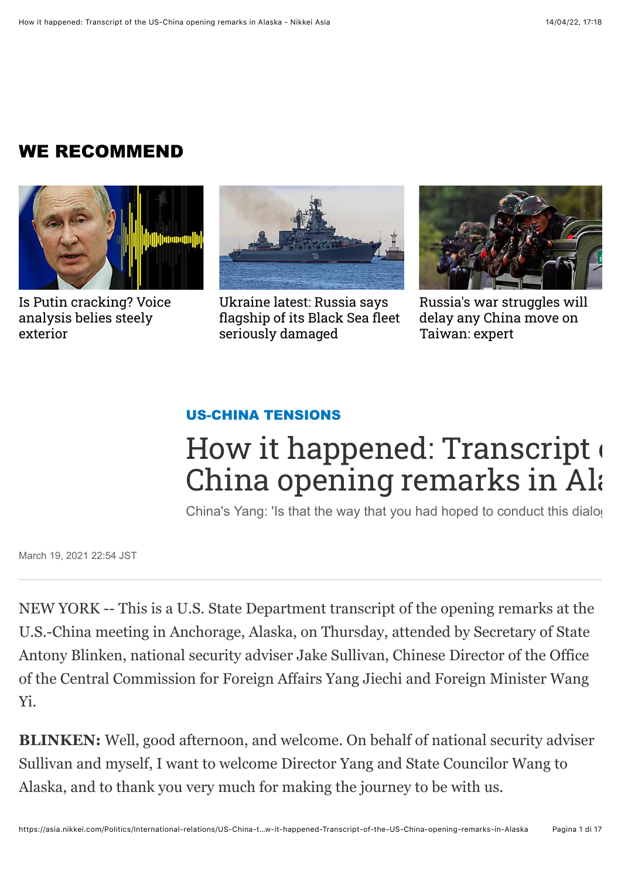## WE RECOMMEND



[Is Putin cracking? Voice](https://asia.nikkei.com/Politics/Ukraine-war/Is-Putin-cracking-Voice-analysis-belies-steely-exterior?obOrigUrl=true) analysis belies steely exterior



Ukraine latest: Russia says [flagship of its Black Sea fleet](https://asia.nikkei.com/Politics/Ukraine-war/Ukraine-war-Free-to-read/Ukraine-latest-Russia-says-flagship-of-its-Black-Sea-fleet-seriously-damaged?obOrigUrl=true) seriously damaged



[Russia's war struggles will](https://asia.nikkei.com/Politics/Ukraine-war/Russia-s-war-struggles-will-delay-any-China-move-on-Taiwan-expert?obOrigUrl=true) delay any China move on Taiwan: expert

#### [US-CHINA TENSIONS](https://asia.nikkei.com/Politics/International-relations/US-China-tensions)

# How it happened: Transcript of China opening remarks in Alas

China's Yang: 'Is that the way that you had hoped to conduct this dialog

March 19, 2021 22:54 JST

NEW YORK -- This is a U.S. State Department transcript of the opening remarks at the U.S.-China meeting in Anchorage, Alaska, on Thursday, attended by Secretary of State Antony Blinken, national security adviser Jake Sullivan, Chinese Director of the Office of the Central Commission for Foreign Affairs Yang Jiechi and Foreign Minister Wang Yi.

**BLINKEN:** Well, good afternoon, and welcome. On behalf of national security adviser Sullivan and myself, I want to welcome Director Yang and State Councilor Wang to Alaska, and to thank you very much for making the journey to be with us.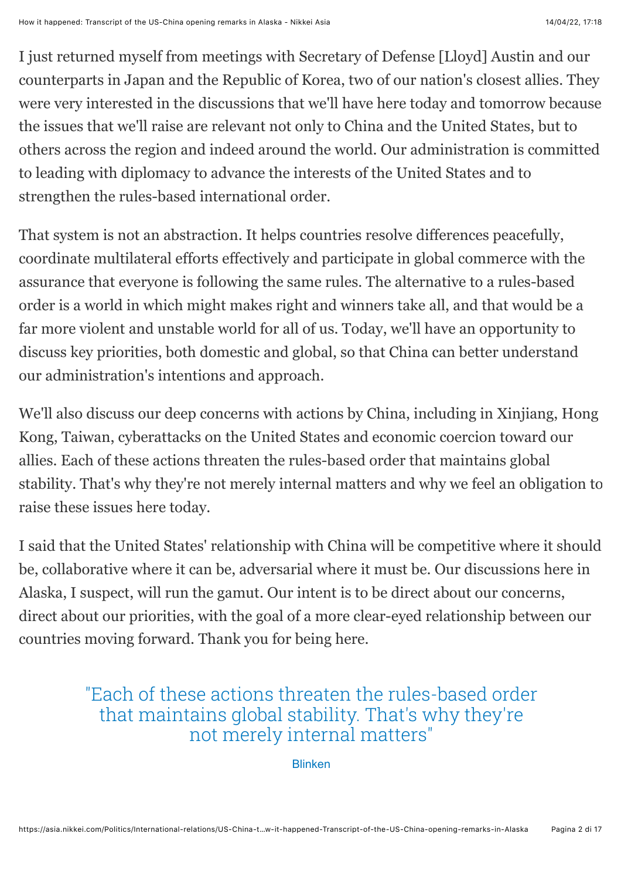I just returned myself from meetings with Secretary of Defense [Lloyd] Austin and our counterparts in Japan and the Republic of Korea, two of our nation's closest allies. They were very interested in the discussions that we'll have here today and tomorrow because the issues that we'll raise are relevant not only to China and the United States, but to others across the region and indeed around the world. Our administration is committed to leading with diplomacy to advance the interests of the United States and to strengthen the rules-based international order.

That system is not an abstraction. It helps countries resolve differences peacefully, coordinate multilateral efforts effectively and participate in global commerce with the assurance that everyone is following the same rules. The alternative to a rules-based order is a world in which might makes right and winners take all, and that would be a far more violent and unstable world for all of us. Today, we'll have an opportunity to discuss key priorities, both domestic and global, so that China can better understand our administration's intentions and approach.

We'll also discuss our deep concerns with actions by China, including in Xinjiang, Hong Kong, Taiwan, cyberattacks on the United States and economic coercion toward our allies. Each of these actions threaten the rules-based order that maintains global stability. That's why they're not merely internal matters and why we feel an obligation to raise these issues here today.

I said that the United States' relationship with China will be competitive where it should be, collaborative where it can be, adversarial where it must be. Our discussions here in Alaska, I suspect, will run the gamut. Our intent is to be direct about our concerns, direct about our priorities, with the goal of a more clear-eyed relationship between our countries moving forward. Thank you for being here.

#### "Each of these actions threaten the rules-based order that maintains global stability. That's why they're not merely internal matters"

Blinken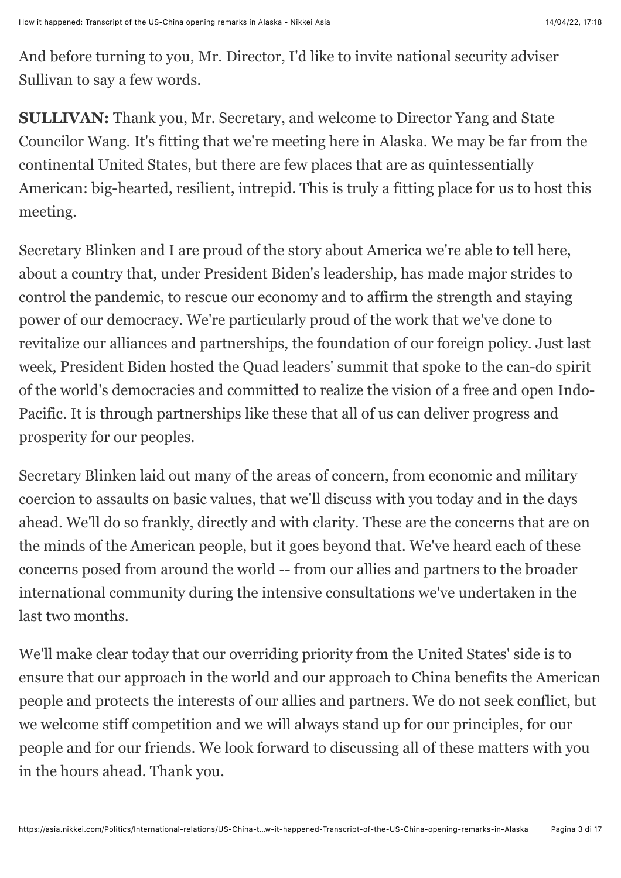And before turning to you, Mr. Director, I'd like to invite national security adviser Sullivan to say a few words.

**SULLIVAN:** Thank you, Mr. Secretary, and welcome to Director Yang and State Councilor Wang. It's fitting that we're meeting here in Alaska. We may be far from the continental United States, but there are few places that are as quintessentially American: big-hearted, resilient, intrepid. This is truly a fitting place for us to host this meeting.

Secretary Blinken and I are proud of the story about America we're able to tell here, about a country that, under President Biden's leadership, has made major strides to control the pandemic, to rescue our economy and to affirm the strength and staying power of our democracy. We're particularly proud of the work that we've done to revitalize our alliances and partnerships, the foundation of our foreign policy. Just last week, President Biden hosted the Quad leaders' summit that spoke to the can-do spirit of the world's democracies and committed to realize the vision of a free and open Indo-Pacific. It is through partnerships like these that all of us can deliver progress and prosperity for our peoples.

Secretary Blinken laid out many of the areas of concern, from economic and military coercion to assaults on basic values, that we'll discuss with you today and in the days ahead. We'll do so frankly, directly and with clarity. These are the concerns that are on the minds of the American people, but it goes beyond that. We've heard each of these concerns posed from around the world -- from our allies and partners to the broader international community during the intensive consultations we've undertaken in the last two months.

We'll make clear today that our overriding priority from the United States' side is to ensure that our approach in the world and our approach to China benefits the American people and protects the interests of our allies and partners. We do not seek conflict, but we welcome stiff competition and we will always stand up for our principles, for our people and for our friends. We look forward to discussing all of these matters with you in the hours ahead. Thank you.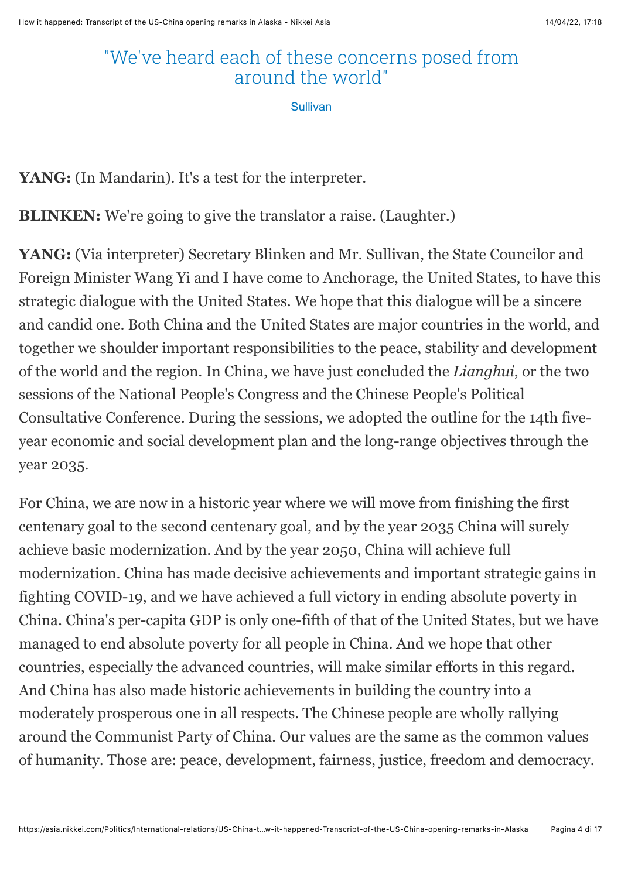## "We've heard each of these concerns posed from around the world"

Sullivan

YANG: (In Mandarin). It's a test for the interpreter.

**BLINKEN:** We're going to give the translator a raise. (Laughter.)

**YANG:** (Via interpreter) Secretary Blinken and Mr. Sullivan, the State Councilor and Foreign Minister Wang Yi and I have come to Anchorage, the United States, to have this strategic dialogue with the United States. We hope that this dialogue will be a sincere and candid one. Both China and the United States are major countries in the world, and together we shoulder important responsibilities to the peace, stability and development of the world and the region. In China, we have just concluded the *Lianghui*, or the two sessions of the National People's Congress and the Chinese People's Political Consultative Conference. During the sessions, we adopted the outline for the 14th fiveyear economic and social development plan and the long-range objectives through the year 2035.

For China, we are now in a historic year where we will move from finishing the first centenary goal to the second centenary goal, and by the year 2035 China will surely achieve basic modernization. And by the year 2050, China will achieve full modernization. China has made decisive achievements and important strategic gains in fighting COVID-19, and we have achieved a full victory in ending absolute poverty in China. China's per-capita GDP is only one-fifth of that of the United States, but we have managed to end absolute poverty for all people in China. And we hope that other countries, especially the advanced countries, will make similar efforts in this regard. And China has also made historic achievements in building the country into a moderately prosperous one in all respects. The Chinese people are wholly rallying around the Communist Party of China. Our values are the same as the common values of humanity. Those are: peace, development, fairness, justice, freedom and democracy.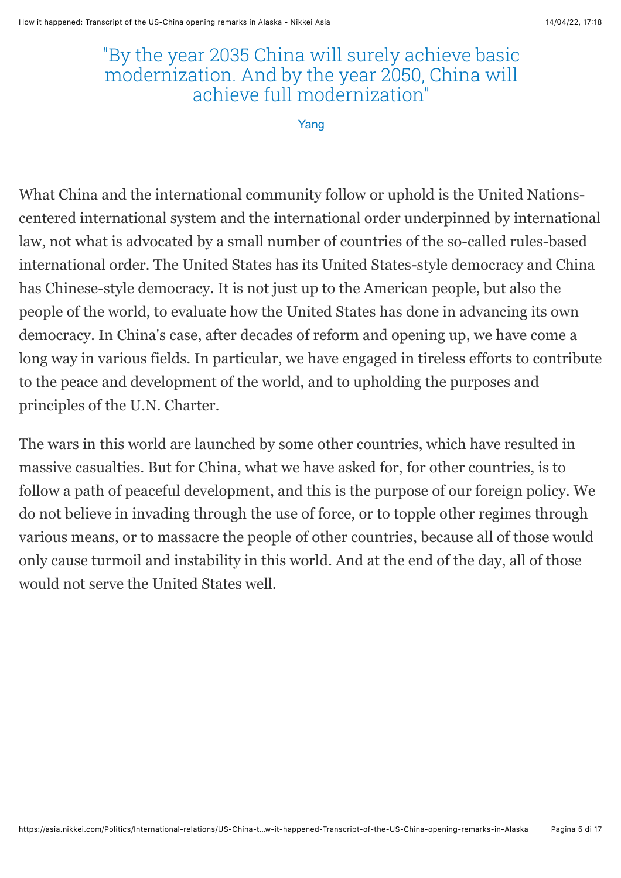#### "By the year 2035 China will surely achieve basic modernization. And by the year 2050, China will achieve full modernization"

Yang

What China and the international community follow or uphold is the United Nationscentered international system and the international order underpinned by international law, not what is advocated by a small number of countries of the so-called rules-based international order. The United States has its United States-style democracy and China has Chinese-style democracy. It is not just up to the American people, but also the people of the world, to evaluate how the United States has done in advancing its own democracy. In China's case, after decades of reform and opening up, we have come a long way in various fields. In particular, we have engaged in tireless efforts to contribute to the peace and development of the world, and to upholding the purposes and principles of the U.N. Charter.

The wars in this world are launched by some other countries, which have resulted in massive casualties. But for China, what we have asked for, for other countries, is to follow a path of peaceful development, and this is the purpose of our foreign policy. We do not believe in invading through the use of force, or to topple other regimes through various means, or to massacre the people of other countries, because all of those would only cause turmoil and instability in this world. And at the end of the day, all of those would not serve the United States well.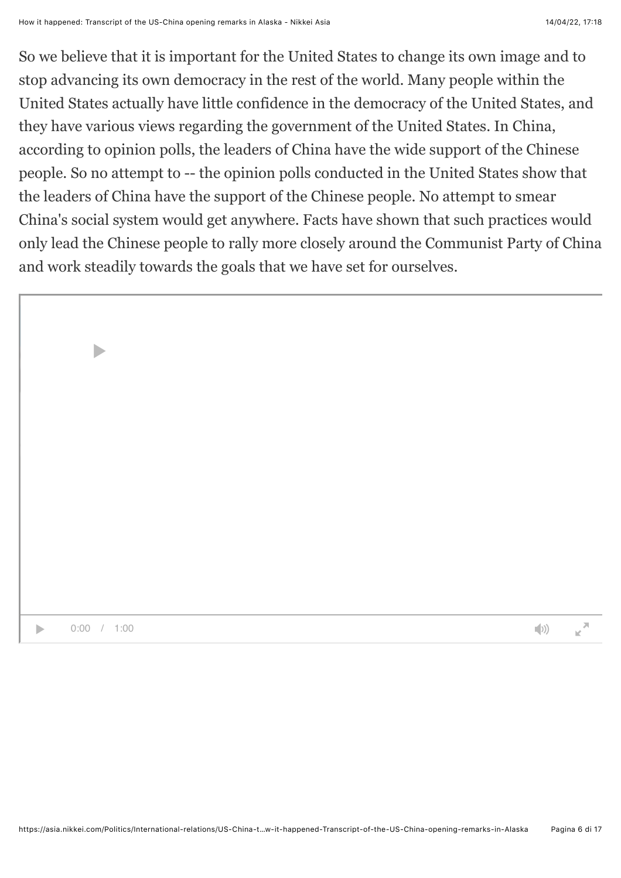So we believe that it is important for the United States to change its own image and to stop advancing its own democracy in the rest of the world. Many people within the United States actually have little confidence in the democracy of the United States, and they have various views regarding the government of the United States. In China, according to opinion polls, the leaders of China have the wide support of the Chinese people. So no attempt to -- the opinion polls conducted in the United States show that the leaders of China have the support of the Chinese people. No attempt to smear China's social system would get anywhere. Facts have shown that such practices would only lead the Chinese people to rally more closely around the Communist Party of China and work steadily towards the goals that we have set for ourselves.

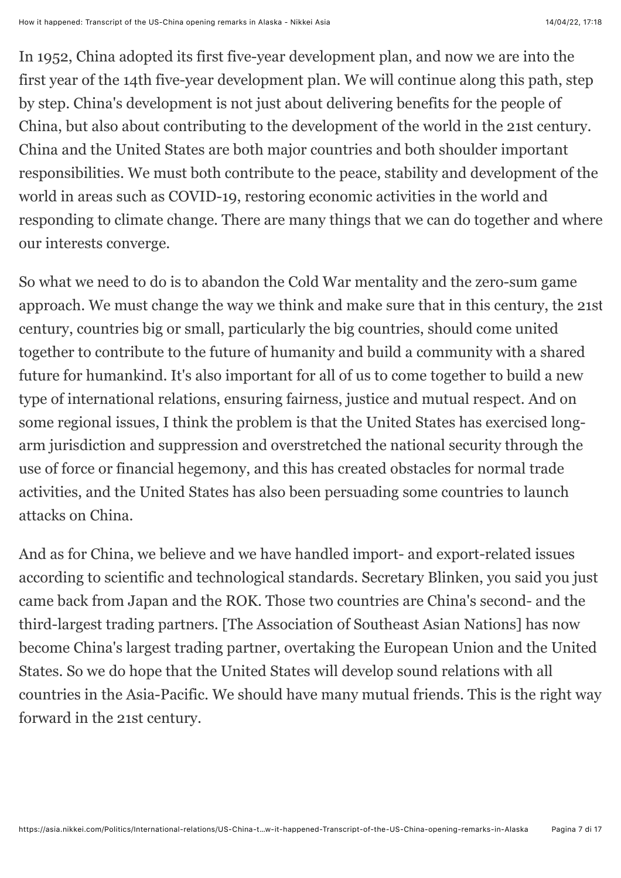In 1952, China adopted its first five-year development plan, and now we are into the first year of the 14th five-year development plan. We will continue along this path, step by step. China's development is not just about delivering benefits for the people of China, but also about contributing to the development of the world in the 21st century. China and the United States are both major countries and both shoulder important responsibilities. We must both contribute to the peace, stability and development of the world in areas such as COVID-19, restoring economic activities in the world and responding to climate change. There are many things that we can do together and where our interests converge.

So what we need to do is to abandon the Cold War mentality and the zero-sum game approach. We must change the way we think and make sure that in this century, the 21st century, countries big or small, particularly the big countries, should come united together to contribute to the future of humanity and build a community with a shared future for humankind. It's also important for all of us to come together to build a new type of international relations, ensuring fairness, justice and mutual respect. And on some regional issues, I think the problem is that the United States has exercised longarm jurisdiction and suppression and overstretched the national security through the use of force or financial hegemony, and this has created obstacles for normal trade activities, and the United States has also been persuading some countries to launch attacks on China.

And as for China, we believe and we have handled import- and export-related issues according to scientific and technological standards. Secretary Blinken, you said you just came back from Japan and the ROK. Those two countries are China's second- and the third-largest trading partners. [The Association of Southeast Asian Nations] has now become China's largest trading partner, overtaking the European Union and the United States. So we do hope that the United States will develop sound relations with all countries in the Asia-Pacific. We should have many mutual friends. This is the right way forward in the 21st century.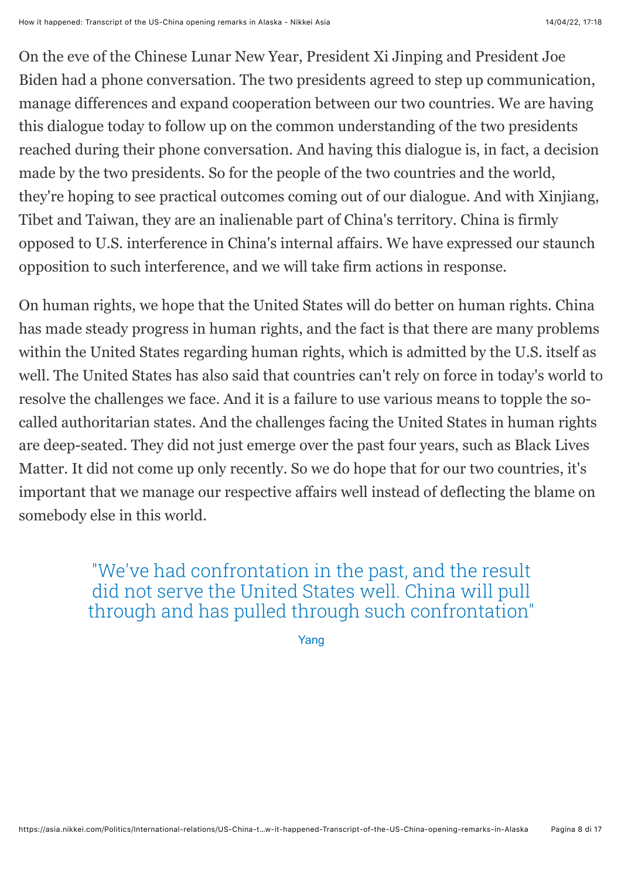On the eve of the Chinese Lunar New Year, President Xi Jinping and President Joe Biden had a phone conversation. The two presidents agreed to step up communication, manage differences and expand cooperation between our two countries. We are having this dialogue today to follow up on the common understanding of the two presidents reached during their phone conversation. And having this dialogue is, in fact, a decision made by the two presidents. So for the people of the two countries and the world, they're hoping to see practical outcomes coming out of our dialogue. And with Xinjiang, Tibet and Taiwan, they are an inalienable part of China's territory. China is firmly opposed to U.S. interference in China's internal affairs. We have expressed our staunch opposition to such interference, and we will take firm actions in response.

On human rights, we hope that the United States will do better on human rights. China has made steady progress in human rights, and the fact is that there are many problems within the United States regarding human rights, which is admitted by the U.S. itself as well. The United States has also said that countries can't rely on force in today's world to resolve the challenges we face. And it is a failure to use various means to topple the socalled authoritarian states. And the challenges facing the United States in human rights are deep-seated. They did not just emerge over the past four years, such as Black Lives Matter. It did not come up only recently. So we do hope that for our two countries, it's important that we manage our respective affairs well instead of deflecting the blame on somebody else in this world.

> "We've had confrontation in the past, and the result did not serve the United States well. China will pull through and has pulled through such confrontation"

> > Yang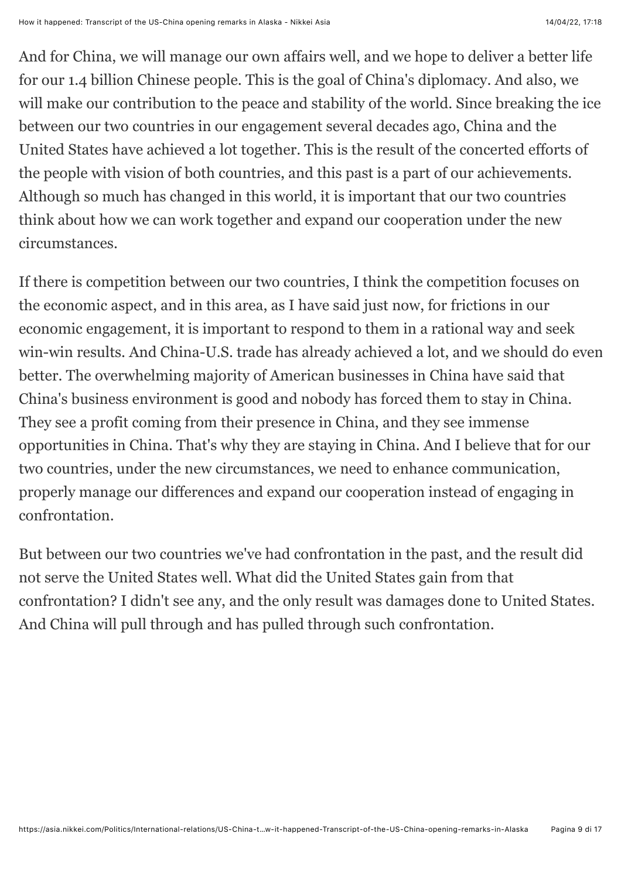And for China, we will manage our own affairs well, and we hope to deliver a better life for our 1.4 billion Chinese people. This is the goal of China's diplomacy. And also, we will make our contribution to the peace and stability of the world. Since breaking the ice between our two countries in our engagement several decades ago, China and the United States have achieved a lot together. This is the result of the concerted efforts of the people with vision of both countries, and this past is a part of our achievements. Although so much has changed in this world, it is important that our two countries think about how we can work together and expand our cooperation under the new circumstances.

If there is competition between our two countries, I think the competition focuses on the economic aspect, and in this area, as I have said just now, for frictions in our economic engagement, it is important to respond to them in a rational way and seek win-win results. And China-U.S. trade has already achieved a lot, and we should do even better. The overwhelming majority of American businesses in China have said that China's business environment is good and nobody has forced them to stay in China. They see a profit coming from their presence in China, and they see immense opportunities in China. That's why they are staying in China. And I believe that for our two countries, under the new circumstances, we need to enhance communication, properly manage our differences and expand our cooperation instead of engaging in confrontation.

But between our two countries we've had confrontation in the past, and the result did not serve the United States well. What did the United States gain from that confrontation? I didn't see any, and the only result was damages done to United States. And China will pull through and has pulled through such confrontation.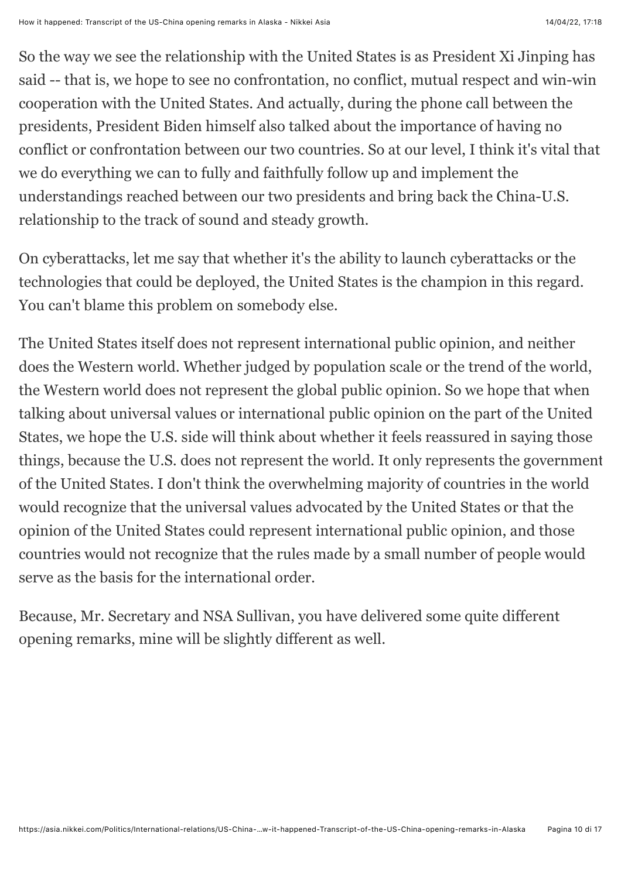So the way we see the relationship with the United States is as President Xi Jinping has said -- that is, we hope to see no confrontation, no conflict, mutual respect and win-win cooperation with the United States. And actually, during the phone call between the presidents, President Biden himself also talked about the importance of having no conflict or confrontation between our two countries. So at our level, I think it's vital that we do everything we can to fully and faithfully follow up and implement the understandings reached between our two presidents and bring back the China-U.S. relationship to the track of sound and steady growth.

On cyberattacks, let me say that whether it's the ability to launch cyberattacks or the technologies that could be deployed, the United States is the champion in this regard. You can't blame this problem on somebody else.

The United States itself does not represent international public opinion, and neither does the Western world. Whether judged by population scale or the trend of the world, the Western world does not represent the global public opinion. So we hope that when talking about universal values or international public opinion on the part of the United States, we hope the U.S. side will think about whether it feels reassured in saying those things, because the U.S. does not represent the world. It only represents the government of the United States. I don't think the overwhelming majority of countries in the world would recognize that the universal values advocated by the United States or that the opinion of the United States could represent international public opinion, and those countries would not recognize that the rules made by a small number of people would serve as the basis for the international order.

Because, Mr. Secretary and NSA Sullivan, you have delivered some quite different opening remarks, mine will be slightly different as well.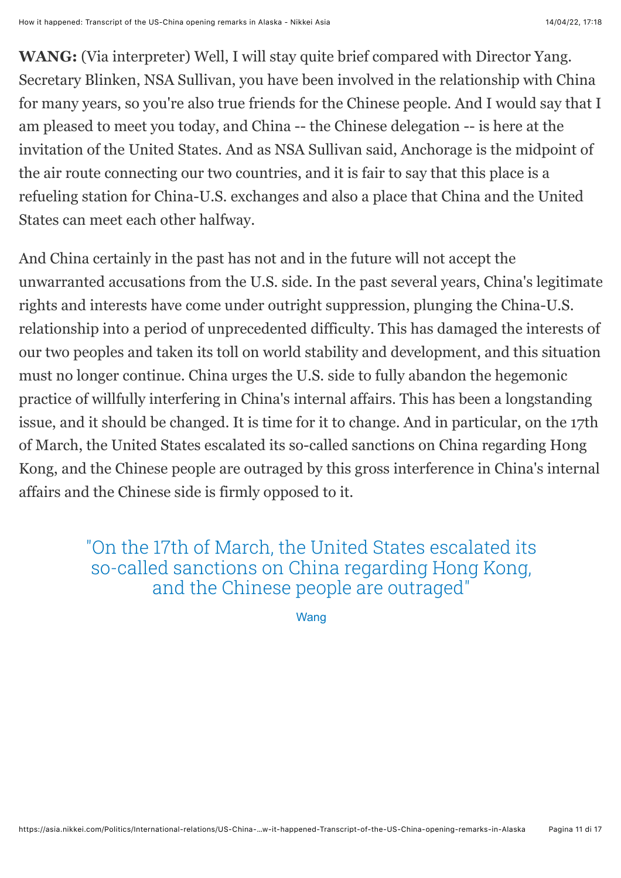**WANG:** (Via interpreter) Well, I will stay quite brief compared with Director Yang. Secretary Blinken, NSA Sullivan, you have been involved in the relationship with China for many years, so you're also true friends for the Chinese people. And I would say that I am pleased to meet you today, and China -- the Chinese delegation -- is here at the invitation of the United States. And as NSA Sullivan said, Anchorage is the midpoint of the air route connecting our two countries, and it is fair to say that this place is a refueling station for China-U.S. exchanges and also a place that China and the United States can meet each other halfway.

And China certainly in the past has not and in the future will not accept the unwarranted accusations from the U.S. side. In the past several years, China's legitimate rights and interests have come under outright suppression, plunging the China-U.S. relationship into a period of unprecedented difficulty. This has damaged the interests of our two peoples and taken its toll on world stability and development, and this situation must no longer continue. China urges the U.S. side to fully abandon the hegemonic practice of willfully interfering in China's internal affairs. This has been a longstanding issue, and it should be changed. It is time for it to change. And in particular, on the 17th of March, the United States escalated its so-called sanctions on China regarding Hong Kong, and the Chinese people are outraged by this gross interference in China's internal affairs and the Chinese side is firmly opposed to it.

#### "On the 17th of March, the United States escalated its so-called sanctions on China regarding Hong Kong, and the Chinese people are outraged"

**Wang**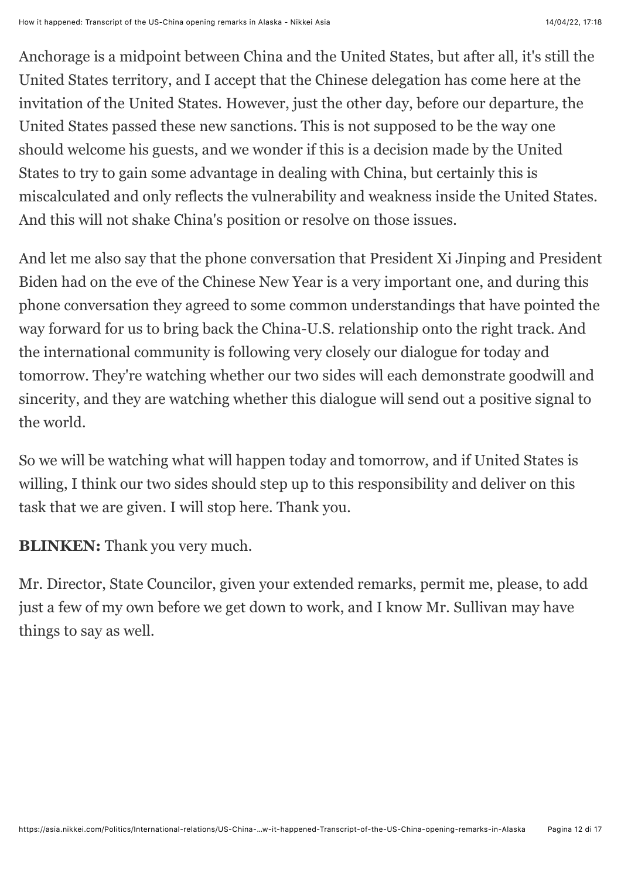Anchorage is a midpoint between China and the United States, but after all, it's still the United States territory, and I accept that the Chinese delegation has come here at the invitation of the United States. However, just the other day, before our departure, the United States passed these new sanctions. This is not supposed to be the way one should welcome his guests, and we wonder if this is a decision made by the United States to try to gain some advantage in dealing with China, but certainly this is miscalculated and only reflects the vulnerability and weakness inside the United States. And this will not shake China's position or resolve on those issues.

And let me also say that the phone conversation that President Xi Jinping and President Biden had on the eve of the Chinese New Year is a very important one, and during this phone conversation they agreed to some common understandings that have pointed the way forward for us to bring back the China-U.S. relationship onto the right track. And the international community is following very closely our dialogue for today and tomorrow. They're watching whether our two sides will each demonstrate goodwill and sincerity, and they are watching whether this dialogue will send out a positive signal to the world.

So we will be watching what will happen today and tomorrow, and if United States is willing, I think our two sides should step up to this responsibility and deliver on this task that we are given. I will stop here. Thank you.

**BLINKEN:** Thank you very much.

Mr. Director, State Councilor, given your extended remarks, permit me, please, to add just a few of my own before we get down to work, and I know Mr. Sullivan may have things to say as well.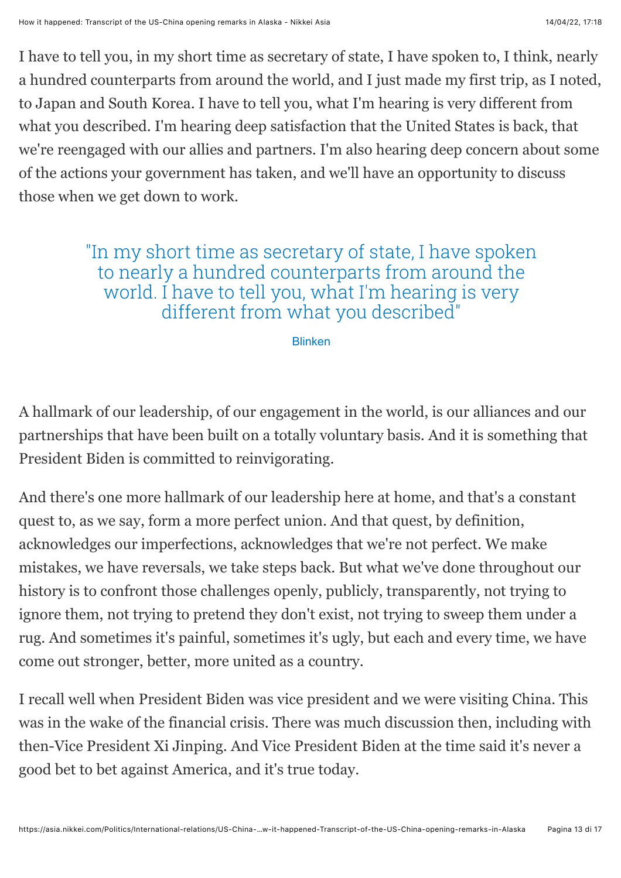I have to tell you, in my short time as secretary of state, I have spoken to, I think, nearly a hundred counterparts from around the world, and I just made my first trip, as I noted, to Japan and South Korea. I have to tell you, what I'm hearing is very different from what you described. I'm hearing deep satisfaction that the United States is back, that we're reengaged with our allies and partners. I'm also hearing deep concern about some of the actions your government has taken, and we'll have an opportunity to discuss those when we get down to work.

#### "In my short time as secretary of state, I have spoken to nearly a hundred counterparts from around the world. I have to tell you, what I'm hearing is very different from what you described"

Blinken

A hallmark of our leadership, of our engagement in the world, is our alliances and our partnerships that have been built on a totally voluntary basis. And it is something that President Biden is committed to reinvigorating.

And there's one more hallmark of our leadership here at home, and that's a constant quest to, as we say, form a more perfect union. And that quest, by definition, acknowledges our imperfections, acknowledges that we're not perfect. We make mistakes, we have reversals, we take steps back. But what we've done throughout our history is to confront those challenges openly, publicly, transparently, not trying to ignore them, not trying to pretend they don't exist, not trying to sweep them under a rug. And sometimes it's painful, sometimes it's ugly, but each and every time, we have come out stronger, better, more united as a country.

I recall well when President Biden was vice president and we were visiting China. This was in the wake of the financial crisis. There was much discussion then, including with then-Vice President Xi Jinping. And Vice President Biden at the time said it's never a good bet to bet against America, and it's true today.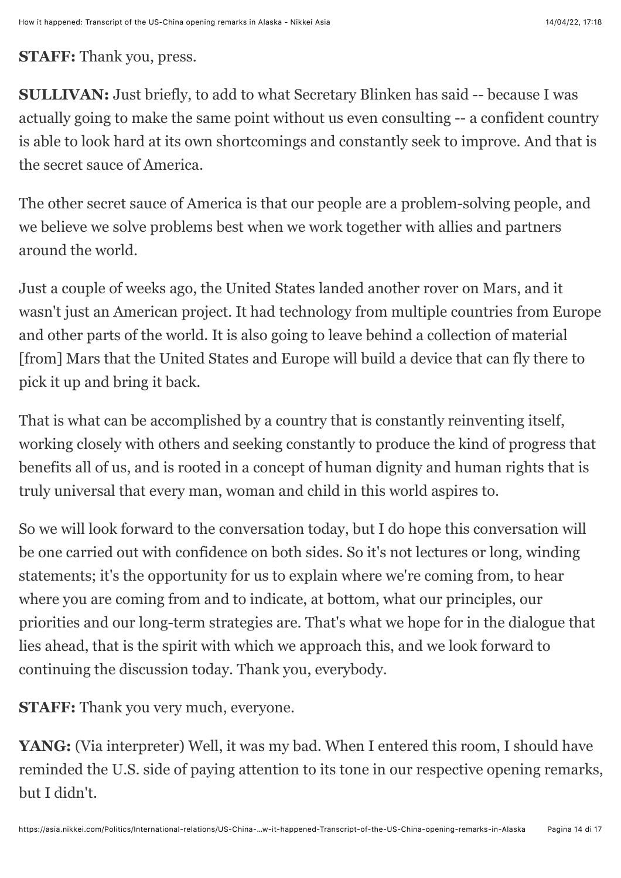#### **STAFF:** Thank you, press.

**SULLIVAN:** Just briefly, to add to what Secretary Blinken has said -- because I was actually going to make the same point without us even consulting -- a confident country is able to look hard at its own shortcomings and constantly seek to improve. And that is the secret sauce of America.

The other secret sauce of America is that our people are a problem-solving people, and we believe we solve problems best when we work together with allies and partners around the world.

Just a couple of weeks ago, the United States landed another rover on Mars, and it wasn't just an American project. It had technology from multiple countries from Europe and other parts of the world. It is also going to leave behind a collection of material [from] Mars that the United States and Europe will build a device that can fly there to pick it up and bring it back.

That is what can be accomplished by a country that is constantly reinventing itself, working closely with others and seeking constantly to produce the kind of progress that benefits all of us, and is rooted in a concept of human dignity and human rights that is truly universal that every man, woman and child in this world aspires to.

So we will look forward to the conversation today, but I do hope this conversation will be one carried out with confidence on both sides. So it's not lectures or long, winding statements; it's the opportunity for us to explain where we're coming from, to hear where you are coming from and to indicate, at bottom, what our principles, our priorities and our long-term strategies are. That's what we hope for in the dialogue that lies ahead, that is the spirit with which we approach this, and we look forward to continuing the discussion today. Thank you, everybody.

**STAFF:** Thank you very much, everyone.

YANG: (Via interpreter) Well, it was my bad. When I entered this room, I should have reminded the U.S. side of paying attention to its tone in our respective opening remarks, but I didn't.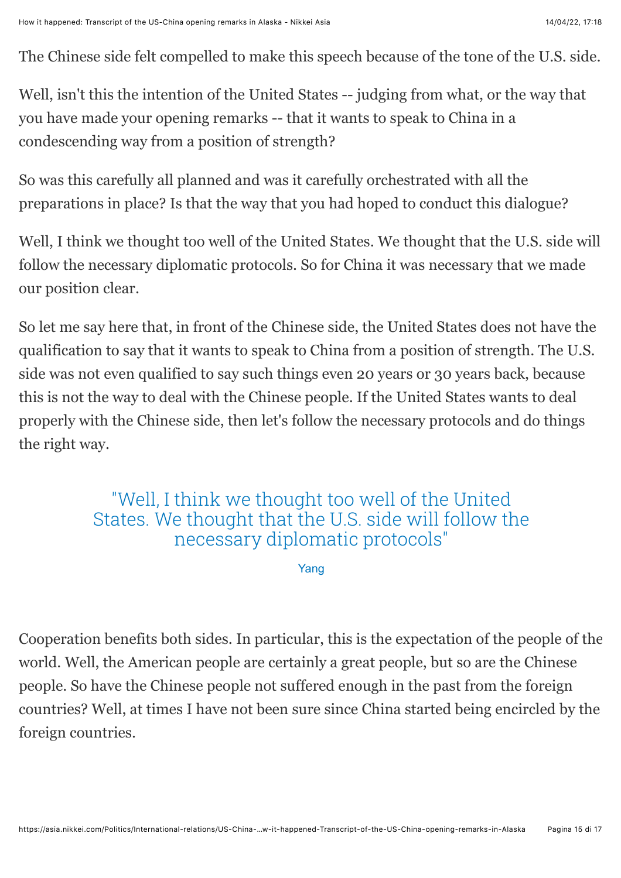The Chinese side felt compelled to make this speech because of the tone of the U.S. side.

Well, isn't this the intention of the United States -- judging from what, or the way that you have made your opening remarks -- that it wants to speak to China in a condescending way from a position of strength?

So was this carefully all planned and was it carefully orchestrated with all the preparations in place? Is that the way that you had hoped to conduct this dialogue?

Well, I think we thought too well of the United States. We thought that the U.S. side will follow the necessary diplomatic protocols. So for China it was necessary that we made our position clear.

So let me say here that, in front of the Chinese side, the United States does not have the qualification to say that it wants to speak to China from a position of strength. The U.S. side was not even qualified to say such things even 20 years or 30 years back, because this is not the way to deal with the Chinese people. If the United States wants to deal properly with the Chinese side, then let's follow the necessary protocols and do things the right way.

#### "Well, I think we thought too well of the United States. We thought that the U.S. side will follow the necessary diplomatic protocols"

Yang

Cooperation benefits both sides. In particular, this is the expectation of the people of the world. Well, the American people are certainly a great people, but so are the Chinese people. So have the Chinese people not suffered enough in the past from the foreign countries? Well, at times I have not been sure since China started being encircled by the foreign countries.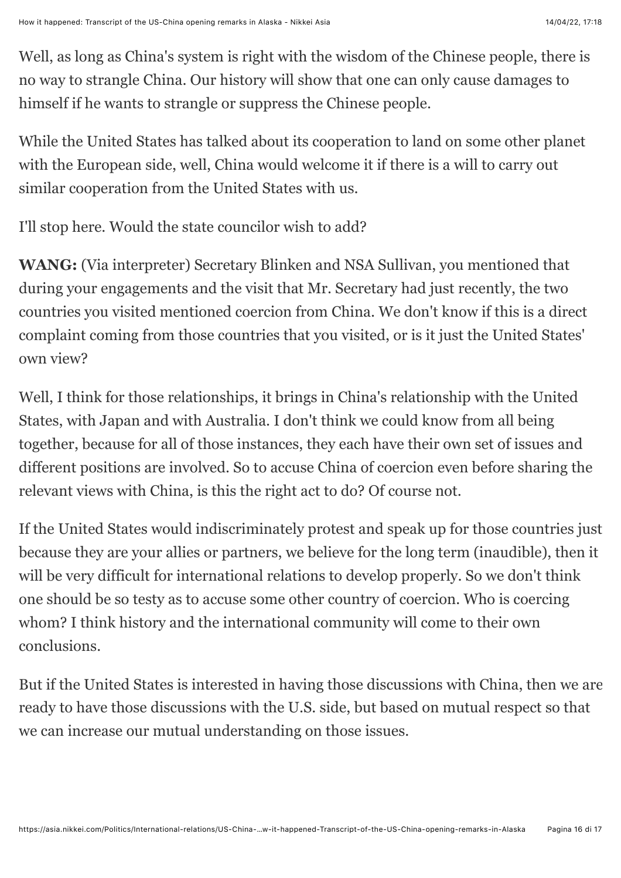Well, as long as China's system is right with the wisdom of the Chinese people, there is no way to strangle China. Our history will show that one can only cause damages to himself if he wants to strangle or suppress the Chinese people.

While the United States has talked about its cooperation to land on some other planet with the European side, well, China would welcome it if there is a will to carry out similar cooperation from the United States with us.

I'll stop here. Would the state councilor wish to add?

**WANG:** (Via interpreter) Secretary Blinken and NSA Sullivan, you mentioned that during your engagements and the visit that Mr. Secretary had just recently, the two countries you visited mentioned coercion from China. We don't know if this is a direct complaint coming from those countries that you visited, or is it just the United States' own view?

Well, I think for those relationships, it brings in China's relationship with the United States, with Japan and with Australia. I don't think we could know from all being together, because for all of those instances, they each have their own set of issues and different positions are involved. So to accuse China of coercion even before sharing the relevant views with China, is this the right act to do? Of course not.

If the United States would indiscriminately protest and speak up for those countries just because they are your allies or partners, we believe for the long term (inaudible), then it will be very difficult for international relations to develop properly. So we don't think one should be so testy as to accuse some other country of coercion. Who is coercing whom? I think history and the international community will come to their own conclusions.

But if the United States is interested in having those discussions with China, then we are ready to have those discussions with the U.S. side, but based on mutual respect so that we can increase our mutual understanding on those issues.